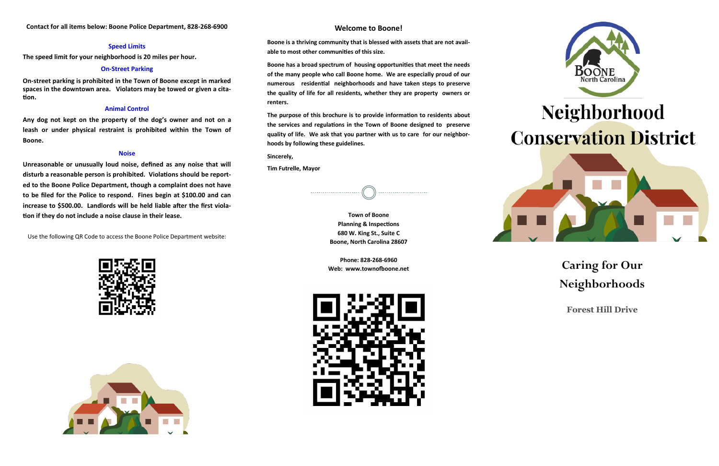## **Caring for Our Neighborhoods**

**Forest Hill Drive**

#### **Welcome to Boone!**

**Boone is a thriving community that is blessed with assets that are not available to most other communities of this size.**

**Boone has a broad spectrum of housing opportunities that meet the needs of the many people who call Boone home. We are especially proud of our numerous residential neighborhoods and have taken steps to preserve the quality of life for all residents, whether they are property owners or renters.**

**The purpose of this brochure is to provide information to residents about the services and regulations in the Town of Boone designed to preserve quality of life. We ask that you partner with us to care for our neighborhoods by following these guidelines.**

**Sincerely,** 

**Tim Futrelle, Mayor**

**Town of Boone Planning & Inspections 680 W. King St., Suite C Boone, North Carolina 28607**

**Phone: 828-268-6960 Web: www.townofboone.net**





# Neighborhood **Conservation District**



#### **Speed Limits**

**The speed limit for your neighborhood is 20 miles per hour.** 

#### **On-Street Parking**

**On-street parking is prohibited in the Town of Boone except in marked spaces in the downtown area. Violators may be towed or given a citation.** 

#### **Animal Control**

**Any dog not kept on the property of the dog's owner and not on a leash or under physical restraint is prohibited within the Town of Boone.** 

#### **Noise**

**Unreasonable or unusually loud noise, defined as any noise that will disturb a reasonable person is prohibited. Violations should be reported to the Boone Police Department, though a complaint does not have to be filed for the Police to respond. Fines begin at \$100.00 and can increase to \$500.00. Landlords will be held liable after the first violation if they do not include a noise clause in their lease.**

Use the following QR Code to access the Boone Police Department website: